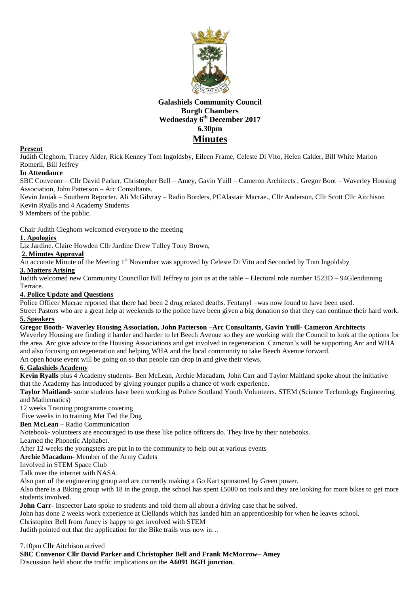

# **Galashiels Community Council Burgh Chambers Wednesday 6 th December 2017 6.30pm Minutes**

### **Present**

Judith Cleghorn, Tracey Alder, Rick Kenney Tom Ingoldsby, Eileen Frame, Celeste Di Vito, Helen Calder, Bill White Marion Romeril, Bill Jeffrey

### **In Attendance**

SBC Convenor – Cllr David Parker, Christopher Bell – Amey, Gavin Yuill – Cameron Architects , Gregor Boot – Waverley Housing Association, John Patterson – Arc Consultants.

Kevin Janiak – Southern Reporter, Ali McGilvray – Radio Borders, PCAlastair Macrae., Cllr Anderson, Cllr Scott Cllr Aitchison Kevin Ryalls and 4 Academy Students

9 Members of the public.

Chair Judith Cleghorn welcomed everyone to the meeting

### **1. Apologies**

Liz Jardine. Claire Howden Cllr Jardine Drew Tulley Tony Brown,

## **2. Minutes Approval**

An accurate Minute of the Meeting 1<sup>st</sup> November was approved by Celeste Di Vito and Seconded by Tom Ingoldsby

# **3. Matters Arising**

Judith welcomed new Community Councillor Bill Jeffrey to join us at the table – Electoral role number 1523D – 94Glendinning Terrace.

#### **4. Police Update and Questions**

Police Officer Macrae reported that there had been 2 drug related deaths. Fentanyl –was now found to have been used.

Street Pastors who are a great help at weekends to the police have been given a big donation so that they can continue their hard work. **5. Speakers**

### **Gregor Booth- Waverley Housing Association, John Patterson –Arc Consultants, Gavin Yuill- Cameron Architects**

Waverley Housing are finding it harder and harder to let Beech Avenue so they are working with the Council to look at the options for the area. Arc give advice to the Housing Associations and get involved in regeneration. Cameron's will be supporting Arc and WHA and also focusing on regeneration and helping WHA and the local community to take Beech Avenue forward.

An open house event will be going on so that people can drop in and give their views.

# **6. Galashiels Academy**

**Kevin Ryalls** plus 4 Academy students- Ben McLean, Archie Macadam, John Carr and Taylor Maitland spoke about the initiative that the Academy has introduced by giving younger pupils a chance of work experience.

**Taylor Maitland-** some students have been working as Police Scotland Youth Volunteers. STEM (Science Technology Engineering and Mathematics)

12 weeks Training programme covering

Five weeks in to training Met Ted the Dog

**Ben McLean** – Radio Communication

Notebook- volunteers are encouraged to use these like police officers do. They live by their notebooks.

Learned the Phonetic Alphabet.

After 12 weeks the youngsters are put in to the community to help out at various events

**Archie Macadam**- Member of the Army Cadets

Involved in STEM Space Club

Talk over the internet with NASA.

Also part of the engineering group and are currently making a Go Kart sponsored by Green power.

Also there is a Biking group with 18 in the group, the school has spent £5000 on tools and they are looking for more bikes to get more students involved.

**John Carr-** Inspector Lato spoke to students and told them all about a driving case that he solved.

John has done 2 weeks work experience at Clellands which has landed him an apprenticeship for when he leaves school.

Christopher Bell from Amey is happy to get involved with STEM

Judith pointed out that the application for the Bike trails was now in…

7.10pm Cllr Aitchison arrived

**SBC Convenor Cllr David Parker and Christopher Bell and Frank McMorrow– Amey**

Discussion held about the traffic implications on the **A6091 BGH junction**.